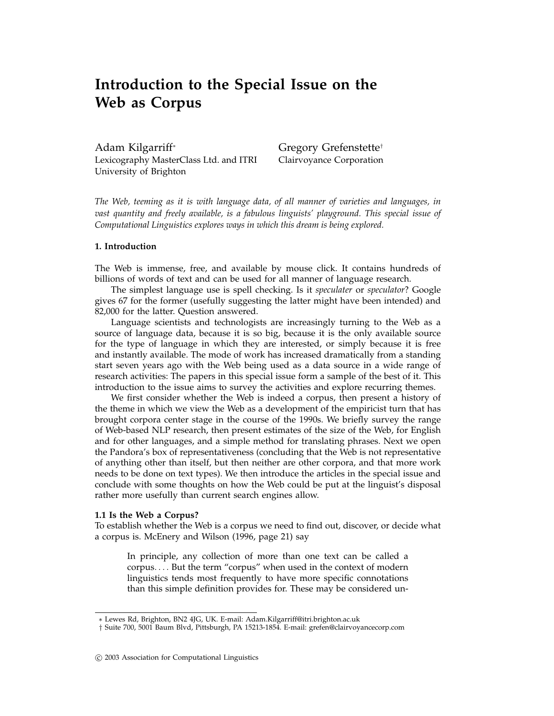# **Introduction to the Special Issue on the Web as Corpus**

Adam Kilgarriff<sup>∗</sup> Gregory Grefenstette<sup>†</sup> Lexicography MasterClass Ltd. and ITRI Clairvoyance Corporation University of Brighton

*The Web, teeming as it is with language data, of all manner of varieties and languages, in vast quantity and freely available, is a fabulous linguists' playground. This special issue of Computational Linguistics explores ways in which this dream is being explored.*

# **1. Introduction**

The Web is immense, free, and available by mouse click. It contains hundreds of billions of words of text and can be used for all manner of language research.

The simplest language use is spell checking. Is it *speculater* or *speculator*? Google gives 67 for the former (usefully suggesting the latter might have been intended) and 82,000 for the latter. Question answered.

Language scientists and technologists are increasingly turning to the Web as a source of language data, because it is so big, because it is the only available source for the type of language in which they are interested, or simply because it is free and instantly available. The mode of work has increased dramatically from a standing start seven years ago with the Web being used as a data source in a wide range of research activities: The papers in this special issue form a sample of the best of it. This introduction to the issue aims to survey the activities and explore recurring themes.

We first consider whether the Web is indeed a corpus, then present a history of the theme in which we view the Web as a development of the empiricist turn that has brought corpora center stage in the course of the 1990s. We briefly survey the range of Web-based NLP research, then present estimates of the size of the Web, for English and for other languages, and a simple method for translating phrases. Next we open the Pandora's box of representativeness (concluding that the Web is not representative of anything other than itself, but then neither are other corpora, and that more work needs to be done on text types). We then introduce the articles in the special issue and conclude with some thoughts on how the Web could be put at the linguist's disposal rather more usefully than current search engines allow.

#### **1.1 Is the Web a Corpus?**

To establish whether the Web is a corpus we need to find out, discover, or decide what a corpus is. McEnery and Wilson (1996, page 21) say

In principle, any collection of more than one text can be called a corpus.... But the term "corpus" when used in the context of modern linguistics tends most frequently to have more specific connotations than this simple definition provides for. These may be considered un-

<sup>∗</sup> Lewes Rd, Brighton, BN2 4JG, UK. E-mail: Adam.Kilgarriff@itri.brighton.ac.uk

<sup>†</sup> Suite 700, 5001 Baum Blvd, Pittsburgh, PA 15213-1854. E-mail: grefen@clairvoyancecorp.com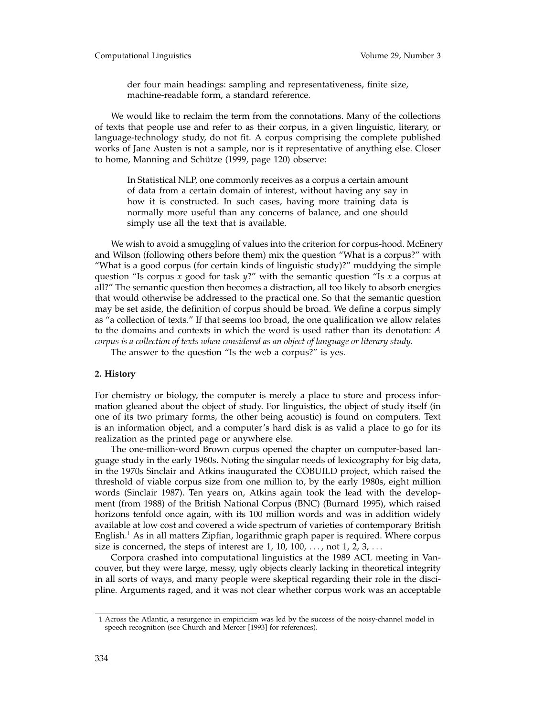Computational Linguistics Volume 29, Number 3

der four main headings: sampling and representativeness, finite size, machine-readable form, a standard reference.

We would like to reclaim the term from the connotations. Many of the collections of texts that people use and refer to as their corpus, in a given linguistic, literary, or language-technology study, do not fit. A corpus comprising the complete published works of Jane Austen is not a sample, nor is it representative of anything else. Closer to home, Manning and Schütze (1999, page 120) observe:

In Statistical NLP, one commonly receives as a corpus a certain amount of data from a certain domain of interest, without having any say in how it is constructed. In such cases, having more training data is normally more useful than any concerns of balance, and one should simply use all the text that is available.

We wish to avoid a smuggling of values into the criterion for corpus-hood. McEnery and Wilson (following others before them) mix the question "What is a corpus?" with "What is a good corpus (for certain kinds of linguistic study)?" muddying the simple question "Is corpus *x* good for task *y*?" with the semantic question "Is *x* a corpus at all?" The semantic question then becomes a distraction, all too likely to absorb energies that would otherwise be addressed to the practical one. So that the semantic question may be set aside, the definition of corpus should be broad. We define a corpus simply as "a collection of texts." If that seems too broad, the one qualification we allow relates to the domains and contexts in which the word is used rather than its denotation: *A corpus is a collection of texts when considered as an object of language or literary study.*

The answer to the question "Is the web a corpus?" is yes.

#### **2. History**

For chemistry or biology, the computer is merely a place to store and process information gleaned about the object of study. For linguistics, the object of study itself (in one of its two primary forms, the other being acoustic) is found on computers. Text is an information object, and a computer's hard disk is as valid a place to go for its realization as the printed page or anywhere else.

The one-million-word Brown corpus opened the chapter on computer-based language study in the early 1960s. Noting the singular needs of lexicography for big data, in the 1970s Sinclair and Atkins inaugurated the COBUILD project, which raised the threshold of viable corpus size from one million to, by the early 1980s, eight million words (Sinclair 1987). Ten years on, Atkins again took the lead with the development (from 1988) of the British National Corpus (BNC) (Burnard 1995), which raised horizons tenfold once again, with its 100 million words and was in addition widely available at low cost and covered a wide spectrum of varieties of contemporary British English.<sup>1</sup> As in all matters Zipfian, logarithmic graph paper is required. Where corpus size is concerned, the steps of interest are 1, 10, 100,  $\dots$ , not 1, 2, 3,  $\dots$ 

Corpora crashed into computational linguistics at the 1989 ACL meeting in Vancouver, but they were large, messy, ugly objects clearly lacking in theoretical integrity in all sorts of ways, and many people were skeptical regarding their role in the discipline. Arguments raged, and it was not clear whether corpus work was an acceptable

<sup>1</sup> Across the Atlantic, a resurgence in empiricism was led by the success of the noisy-channel model in speech recognition (see Church and Mercer [1993] for references).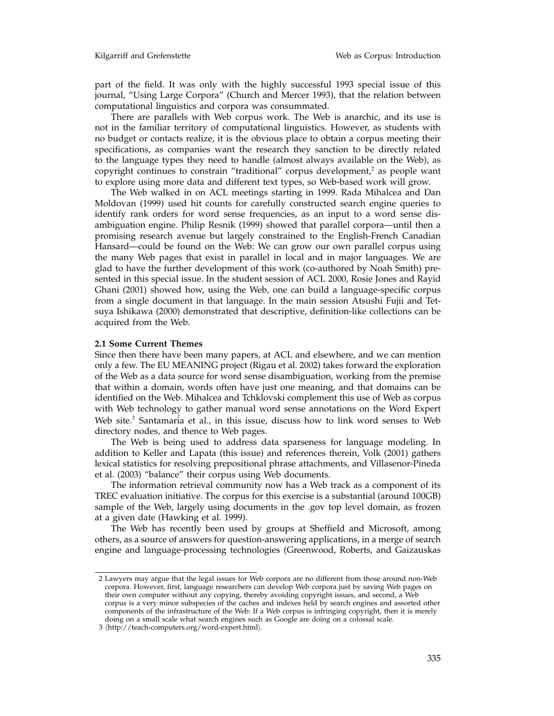part of the field. It was only with the highly successful 1993 special issue of this journal, "Using Large Corpora" (Church and Mercer 1993), that the relation between computational linguistics and corpora was consummated.

There are parallels with Web corpus work. The Web is anarchic, and its use is not in the familiar territory of computational linguistics. However, as students with no budget or contacts realize, it is the obvious place to obtain a corpus meeting their specifications, as companies want the research they sanction to be directly related to the language types they need to handle (almost always available on the Web), as copyright continues to constrain "traditional" corpus development,<sup>2</sup> as people want to explore using more data and different text types, so Web-based work will grow.

The Web walked in on ACL meetings starting in 1999. Rada Mihalcea and Dan Moldovan (1999) used hit counts for carefully constructed search engine queries to identify rank orders for word sense frequencies, as an input to a word sense disambiguation engine. Philip Resnik (1999) showed that parallel corpora—until then a promising research avenue but largely constrained to the English-French Canadian Hansard—could be found on the Web: We can grow our own parallel corpus using the many Web pages that exist in parallel in local and in major languages. We are glad to have the further development of this work (co-authored by Noah Smith) presented in this special issue. In the student session of ACL 2000, Rosie Jones and Rayid Ghani (2001) showed how, using the Web, one can build a language-specific corpus from a single document in that language. In the main session Atsushi Fujii and Tetsuya Ishikawa (2000) demonstrated that descriptive, definition-like collections can be acquired from the Web.

# **2.1 Some Current Themes**

Since then there have been many papers, at ACL and elsewhere, and we can mention only a few. The EU MEANING project (Rigau et al. 2002) takes forward the exploration of the Web as a data source for word sense disambiguation, working from the premise that within a domain, words often have just one meaning, and that domains can be identified on the Web. Mihalcea and Tchklovski complement this use of Web as corpus with Web technology to gather manual word sense annotations on the Word Expert Web site. $3$  Santamaría et al., in this issue, discuss how to link word senses to Web directory nodes, and thence to Web pages.

The Web is being used to address data sparseness for language modeling. In addition to Keller and Lapata (this issue) and references therein, Volk (2001) gathers lexical statistics for resolving prepositional phrase attachments, and Villasenor-Pineda et al. (2003) "balance" their corpus using Web documents.

The information retrieval community now has a Web track as a component of its TREC evaluation initiative. The corpus for this exercise is a substantial (around 100GB) sample of the Web, largely using documents in the .gov top level domain, as frozen at a given date (Hawking et al. 1999).

The Web has recently been used by groups at Sheffield and Microsoft, among others, as a source of answers for question-answering applications, in a merge of search engine and language-processing technologies (Greenwood, Roberts, and Gaizauskas

<sup>2</sup> Lawyers may argue that the legal issues for Web corpora are no different from those around non-Web corpora. However, first, language researchers can develop Web corpora just by saving Web pages on their own computer without any copying, thereby avoiding copyright issues, and second, a Web corpus is a very minor subspecies of the caches and indexes held by search engines and assorted other components of the infrastructure of the Web: If a Web corpus is infringing copyright, then it is merely doing on a small scale what search engines such as Google are doing on a colossal scale.

<sup>3</sup> http://teach-computers.org/word-expert.html.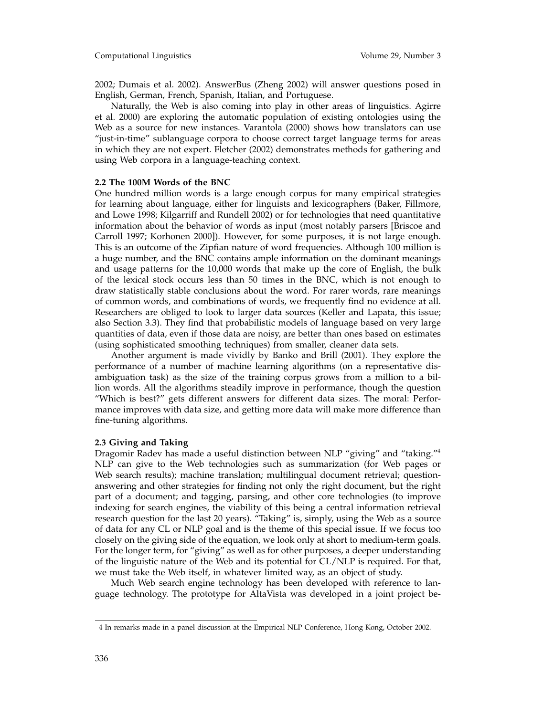2002; Dumais et al. 2002). AnswerBus (Zheng 2002) will answer questions posed in English, German, French, Spanish, Italian, and Portuguese.

Naturally, the Web is also coming into play in other areas of linguistics. Agirre et al. 2000) are exploring the automatic population of existing ontologies using the Web as a source for new instances. Varantola (2000) shows how translators can use "just-in-time" sublanguage corpora to choose correct target language terms for areas in which they are not expert. Fletcher (2002) demonstrates methods for gathering and using Web corpora in a language-teaching context.

#### **2.2 The 100M Words of the BNC**

One hundred million words is a large enough corpus for many empirical strategies for learning about language, either for linguists and lexicographers (Baker, Fillmore, and Lowe 1998; Kilgarriff and Rundell 2002) or for technologies that need quantitative information about the behavior of words as input (most notably parsers [Briscoe and Carroll 1997; Korhonen 2000]). However, for some purposes, it is not large enough. This is an outcome of the Zipfian nature of word frequencies. Although 100 million is a huge number, and the BNC contains ample information on the dominant meanings and usage patterns for the 10,000 words that make up the core of English, the bulk of the lexical stock occurs less than 50 times in the BNC, which is not enough to draw statistically stable conclusions about the word. For rarer words, rare meanings of common words, and combinations of words, we frequently find no evidence at all. Researchers are obliged to look to larger data sources (Keller and Lapata, this issue; also Section 3.3). They find that probabilistic models of language based on very large quantities of data, even if those data are noisy, are better than ones based on estimates (using sophisticated smoothing techniques) from smaller, cleaner data sets.

Another argument is made vividly by Banko and Brill (2001). They explore the performance of a number of machine learning algorithms (on a representative disambiguation task) as the size of the training corpus grows from a million to a billion words. All the algorithms steadily improve in performance, though the question "Which is best?" gets different answers for different data sizes. The moral: Performance improves with data size, and getting more data will make more difference than fine-tuning algorithms.

#### **2.3 Giving and Taking**

Dragomir Radev has made a useful distinction between NLP "giving" and "taking."4 NLP can give to the Web technologies such as summarization (for Web pages or Web search results); machine translation; multilingual document retrieval; questionanswering and other strategies for finding not only the right document, but the right part of a document; and tagging, parsing, and other core technologies (to improve indexing for search engines, the viability of this being a central information retrieval research question for the last 20 years). "Taking" is, simply, using the Web as a source of data for any CL or NLP goal and is the theme of this special issue. If we focus too closely on the giving side of the equation, we look only at short to medium-term goals. For the longer term, for "giving" as well as for other purposes, a deeper understanding of the linguistic nature of the Web and its potential for CL/NLP is required. For that, we must take the Web itself, in whatever limited way, as an object of study.

Much Web search engine technology has been developed with reference to language technology. The prototype for AltaVista was developed in a joint project be-

<sup>4</sup> In remarks made in a panel discussion at the Empirical NLP Conference, Hong Kong, October 2002.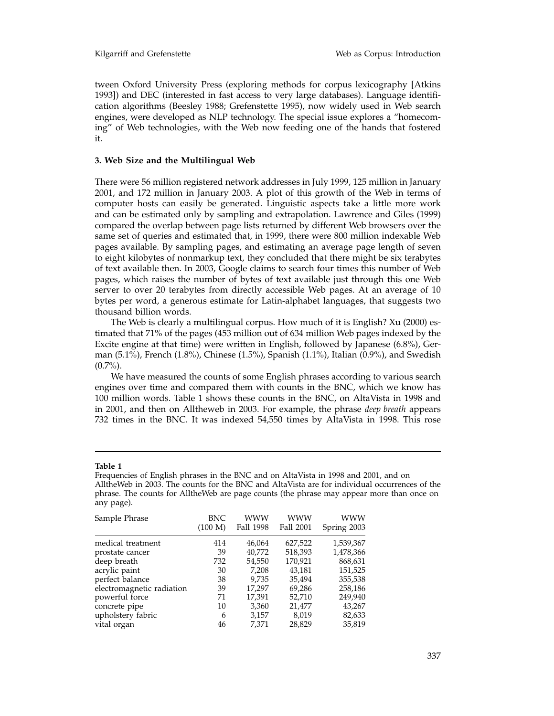tween Oxford University Press (exploring methods for corpus lexicography [Atkins 1993]) and DEC (interested in fast access to very large databases). Language identification algorithms (Beesley 1988; Grefenstette 1995), now widely used in Web search engines, were developed as NLP technology. The special issue explores a "homecoming" of Web technologies, with the Web now feeding one of the hands that fostered it.

# **3. Web Size and the Multilingual Web**

There were 56 million registered network addresses in July 1999, 125 million in January 2001, and 172 million in January 2003. A plot of this growth of the Web in terms of computer hosts can easily be generated. Linguistic aspects take a little more work and can be estimated only by sampling and extrapolation. Lawrence and Giles (1999) compared the overlap between page lists returned by different Web browsers over the same set of queries and estimated that, in 1999, there were 800 million indexable Web pages available. By sampling pages, and estimating an average page length of seven to eight kilobytes of nonmarkup text, they concluded that there might be six terabytes of text available then. In 2003, Google claims to search four times this number of Web pages, which raises the number of bytes of text available just through this one Web server to over 20 terabytes from directly accessible Web pages. At an average of 10 bytes per word, a generous estimate for Latin-alphabet languages, that suggests two thousand billion words.

The Web is clearly a multilingual corpus. How much of it is English? Xu (2000) estimated that 71% of the pages (453 million out of 634 million Web pages indexed by the Excite engine at that time) were written in English, followed by Japanese (6.8%), German (5.1%), French (1.8%), Chinese (1.5%), Spanish (1.1%), Italian (0.9%), and Swedish  $(0.7\%)$ .

We have measured the counts of some English phrases according to various search engines over time and compared them with counts in the BNC, which we know has 100 million words. Table 1 shows these counts in the BNC, on AltaVista in 1998 and in 2001, and then on Alltheweb in 2003. For example, the phrase *deep breath* appears 732 times in the BNC. It was indexed 54,550 times by AltaVista in 1998. This rose

#### **Table 1**

| $\mathbf{u}$ , $\mathbf{v}$ $\mathbf{v}$ |                 |                  |                         |                    |
|------------------------------------------|-----------------|------------------|-------------------------|--------------------|
| Sample Phrase                            | BNC.<br>(100 M) | WWW<br>Fall 1998 | <b>WWW</b><br>Fall 2001 | WWW<br>Spring 2003 |
| medical treatment                        | 414             | 46,064           | 627,522                 | 1,539,367          |
| prostate cancer                          | 39              | 40,772           | 518,393                 | 1,478,366          |
| deep breath                              | 732             | 54,550           | 170,921                 | 868,631            |
| acrylic paint                            | 30              | 7,208            | 43,181                  | 151,525            |
| perfect balance                          | 38              | 9,735            | 35,494                  | 355,538            |
| electromagnetic radiation                | 39              | 17,297           | 69,286                  | 258,186            |
| powerful force                           | 71              | 17,391           | 52,710                  | 249,940            |
| concrete pipe                            | 10              | 3,360            | 21,477                  | 43,267             |
| upholstery fabric                        | 6               | 3,157            | 8,019                   | 82,633             |
| vital organ                              | 46              | 7,371            | 28,829                  | 35,819             |
|                                          |                 |                  |                         |                    |

Frequencies of English phrases in the BNC and on AltaVista in 1998 and 2001, and on AlltheWeb in 2003. The counts for the BNC and AltaVista are for individual occurrences of the phrase. The counts for AlltheWeb are page counts (the phrase may appear more than once on any page).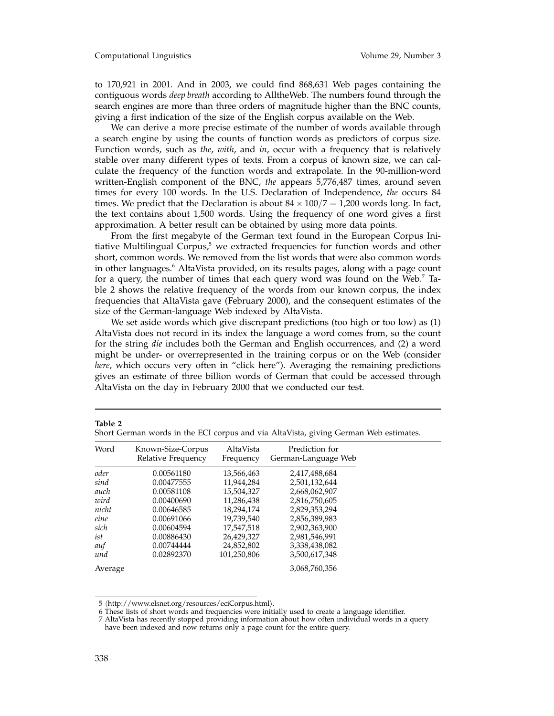to 170,921 in 2001. And in 2003, we could find 868,631 Web pages containing the contiguous words *deep breath* according to AlltheWeb. The numbers found through the search engines are more than three orders of magnitude higher than the BNC counts, giving a first indication of the size of the English corpus available on the Web.

We can derive a more precise estimate of the number of words available through a search engine by using the counts of function words as predictors of corpus size. Function words, such as *the*, *with*, and *in*, occur with a frequency that is relatively stable over many different types of texts. From a corpus of known size, we can calculate the frequency of the function words and extrapolate. In the 90-million-word written-English component of the BNC, *the* appears 5,776,487 times, around seven times for every 100 words. In the U.S. Declaration of Independence, *the* occurs 84 times. We predict that the Declaration is about  $84 \times 100/7 = 1,200$  words long. In fact, the text contains about 1,500 words. Using the frequency of one word gives a first approximation. A better result can be obtained by using more data points.

From the first megabyte of the German text found in the European Corpus Initiative Multilingual Corpus, $5$  we extracted frequencies for function words and other short, common words. We removed from the list words that were also common words in other languages.<sup>6</sup> AltaVista provided, on its results pages, along with a page count for a query, the number of times that each query word was found on the Web.7 Table 2 shows the relative frequency of the words from our known corpus, the index frequencies that AltaVista gave (February 2000), and the consequent estimates of the size of the German-language Web indexed by AltaVista.

We set aside words which give discrepant predictions (too high or too low) as (1) AltaVista does not record in its index the language a word comes from, so the count for the string *die* includes both the German and English occurrences, and (2) a word might be under- or overrepresented in the training corpus or on the Web (consider *here*, which occurs very often in "click here"). Averaging the remaining predictions gives an estimate of three billion words of German that could be accessed through AltaVista on the day in February 2000 that we conducted our test.

**Table 2**

| Short German words in the ECI corpus and via AltaVista, giving German Web estimates |  |  |  |  |  |  |  |  |  |  |  |  |
|-------------------------------------------------------------------------------------|--|--|--|--|--|--|--|--|--|--|--|--|
|-------------------------------------------------------------------------------------|--|--|--|--|--|--|--|--|--|--|--|--|

| Word    | Known-Size-Corpus<br>Relative Frequency | AltaVista<br>Frequency | Prediction for<br>German-Language Web |
|---------|-----------------------------------------|------------------------|---------------------------------------|
| oder    | 0.00561180                              | 13,566,463             | 2,417,488,684                         |
| sind    | 0.00477555                              | 11,944,284             | 2,501,132,644                         |
| auch    | 0.00581108                              | 15,504,327             | 2,668,062,907                         |
| wird    | 0.00400690                              | 11,286,438             | 2,816,750,605                         |
| nicht   | 0.00646585                              | 18,294,174             | 2,829,353,294                         |
| eine    | 0.00691066                              | 19,739,540             | 2,856,389,983                         |
| sich    | 0.00604594                              | 17.547.518             | 2,902,363,900                         |
| ist     | 0.00886430                              | 26,429,327             | 2,981,546,991                         |
| auf     | 0.00744444                              | 24,852,802             | 3,338,438,082                         |
| und     | 0.02892370                              | 101,250,806            | 3,500,617,348                         |
| Average |                                         |                        | 3,068,760,356                         |

<sup>5</sup> http://www.elsnet.org/resources/eciCorpus.html.

<sup>6</sup> These lists of short words and frequencies were initially used to create a language identifier.

<sup>7</sup> AltaVista has recently stopped providing information about how often individual words in a query have been indexed and now returns only a page count for the entire query.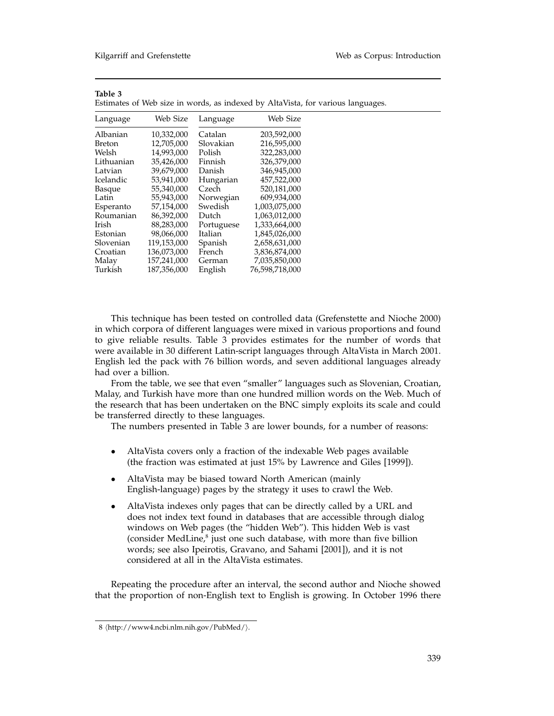| Language   | Web Size    | Language   | Web Size       |
|------------|-------------|------------|----------------|
| Albanian   | 10,332,000  | Catalan    | 203,592,000    |
| Breton     | 12,705,000  | Slovakian  | 216,595,000    |
| Welsh      | 14,993,000  | Polish     | 322,283,000    |
| Lithuanian | 35,426,000  | Finnish    | 326,379,000    |
| Latvian    | 39,679,000  | Danish     | 346,945,000    |
| Icelandic  | 53,941,000  | Hungarian  | 457,522,000    |
| Basque     | 55,340,000  | Czech      | 520,181,000    |
| Latin      | 55,943,000  | Norwegian  | 609,934,000    |
| Esperanto  | 57,154,000  | Swedish    | 1,003,075,000  |
| Roumanian  | 86,392,000  | Dutch      | 1,063,012,000  |
| Irish      | 88,283,000  | Portuguese | 1,333,664,000  |
| Estonian   | 98,066,000  | Italian    | 1,845,026,000  |
| Slovenian  | 119,153,000 | Spanish    | 2,658,631,000  |
| Croatian   | 136,073,000 | French     | 3,836,874,000  |
| Malay      | 157,241,000 | German     | 7,035,850,000  |
| Turkish    | 187,356,000 | English    | 76,598,718,000 |
|            |             |            |                |

Estimates of Web size in words, as indexed by AltaVista, for various languages.

This technique has been tested on controlled data (Grefenstette and Nioche 2000) in which corpora of different languages were mixed in various proportions and found to give reliable results. Table 3 provides estimates for the number of words that were available in 30 different Latin-script languages through AltaVista in March 2001. English led the pack with 76 billion words, and seven additional languages already had over a billion.

From the table, we see that even "smaller" languages such as Slovenian, Croatian, Malay, and Turkish have more than one hundred million words on the Web. Much of the research that has been undertaken on the BNC simply exploits its scale and could be transferred directly to these languages.

The numbers presented in Table 3 are lower bounds, for a number of reasons:

- AltaVista covers only a fraction of the indexable Web pages available (the fraction was estimated at just 15% by Lawrence and Giles [1999]).
- AltaVista may be biased toward North American (mainly English-language) pages by the strategy it uses to crawl the Web.
- AltaVista indexes only pages that can be directly called by a URL and does not index text found in databases that are accessible through dialog windows on Web pages (the "hidden Web"). This hidden Web is vast (consider MedLine, $<sup>8</sup>$  just one such database, with more than five billion</sup> words; see also Ipeirotis, Gravano, and Sahami [2001]), and it is not considered at all in the AltaVista estimates.

Repeating the procedure after an interval, the second author and Nioche showed that the proportion of non-English text to English is growing. In October 1996 there

<sup>8</sup> http://www4.ncbi.nlm.nih.gov/PubMed/.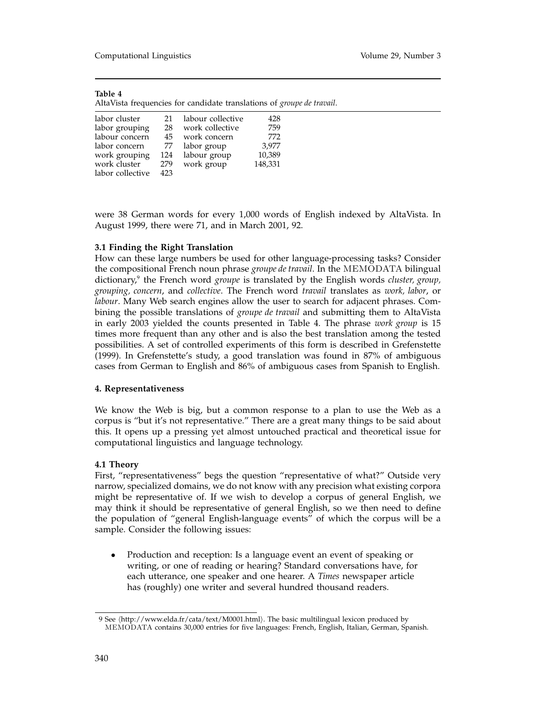#### **Table 4**

|  |  |  |  |  |  | AltaVista frequencies for candidate translations of <i>groupe de travail</i> . |
|--|--|--|--|--|--|--------------------------------------------------------------------------------|
|--|--|--|--|--|--|--------------------------------------------------------------------------------|

| labor cluster    | 21  | labour collective | 428     |
|------------------|-----|-------------------|---------|
| labor grouping   | 28  | work collective   | 759     |
| labour concern   | 45  | work concern      | 772     |
| labor concern    | 77  | labor group       | 3,977   |
| work grouping    | 124 | labour group      | 10,389  |
| work cluster     | 279 | work group        | 148,331 |
| labor collective | 423 |                   |         |

were 38 German words for every 1,000 words of English indexed by AltaVista. In August 1999, there were 71, and in March 2001, 92.

### **3.1 Finding the Right Translation**

How can these large numbers be used for other language-processing tasks? Consider the compositional French noun phrase *groupe de travail*. In the MEMODATA bilingual dictionary,9 the French word *groupe* is translated by the English words *cluster, group, grouping, concern*, and *collective*. The French word *travail* translates as *work, labor*, or *labour*. Many Web search engines allow the user to search for adjacent phrases. Combining the possible translations of *groupe de travail* and submitting them to AltaVista in early 2003 yielded the counts presented in Table 4. The phrase *work group* is 15 times more frequent than any other and is also the best translation among the tested possibilities. A set of controlled experiments of this form is described in Grefenstette (1999). In Grefenstette's study, a good translation was found in 87% of ambiguous cases from German to English and 86% of ambiguous cases from Spanish to English.

# **4. Representativeness**

We know the Web is big, but a common response to a plan to use the Web as a corpus is "but it's not representative." There are a great many things to be said about this. It opens up a pressing yet almost untouched practical and theoretical issue for computational linguistics and language technology.

# **4.1 Theory**

First, "representativeness" begs the question "representative of what?" Outside very narrow, specialized domains, we do not know with any precision what existing corpora might be representative of. If we wish to develop a corpus of general English, we may think it should be representative of general English, so we then need to define the population of "general English-language events" of which the corpus will be a sample. Consider the following issues:

• Production and reception: Is a language event an event of speaking or writing, or one of reading or hearing? Standard conversations have, for each utterance, one speaker and one hearer. A *Times* newspaper article has (roughly) one writer and several hundred thousand readers.

<sup>9</sup> See  $\langle$ http://www.elda.fr/cata/text/M0001.html $\rangle$ . The basic multilingual lexicon produced by MEMODATA contains 30,000 entries for five languages: French, English, Italian, German, Spanish.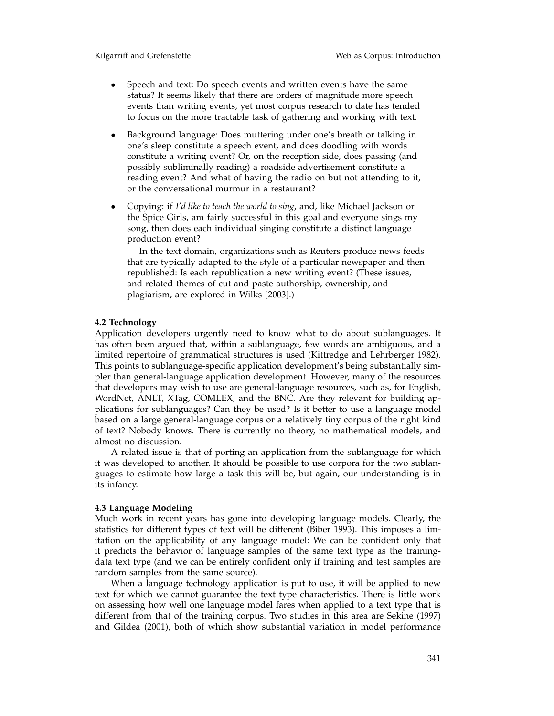- Speech and text: Do speech events and written events have the same status? It seems likely that there are orders of magnitude more speech events than writing events, yet most corpus research to date has tended to focus on the more tractable task of gathering and working with text.
- Background language: Does muttering under one's breath or talking in one's sleep constitute a speech event, and does doodling with words constitute a writing event? Or, on the reception side, does passing (and possibly subliminally reading) a roadside advertisement constitute a reading event? And what of having the radio on but not attending to it, or the conversational murmur in a restaurant?
- Copying: if *I'd like to teach the world to sing*, and, like Michael Jackson or the Spice Girls, am fairly successful in this goal and everyone sings my song, then does each individual singing constitute a distinct language production event?

In the text domain, organizations such as Reuters produce news feeds that are typically adapted to the style of a particular newspaper and then republished: Is each republication a new writing event? (These issues, and related themes of cut-and-paste authorship, ownership, and plagiarism, are explored in Wilks [2003].)

# **4.2 Technology**

Application developers urgently need to know what to do about sublanguages. It has often been argued that, within a sublanguage, few words are ambiguous, and a limited repertoire of grammatical structures is used (Kittredge and Lehrberger 1982). This points to sublanguage-specific application development's being substantially simpler than general-language application development. However, many of the resources that developers may wish to use are general-language resources, such as, for English, WordNet, ANLT, XTag, COMLEX, and the BNC. Are they relevant for building applications for sublanguages? Can they be used? Is it better to use a language model based on a large general-language corpus or a relatively tiny corpus of the right kind of text? Nobody knows. There is currently no theory, no mathematical models, and almost no discussion.

A related issue is that of porting an application from the sublanguage for which it was developed to another. It should be possible to use corpora for the two sublanguages to estimate how large a task this will be, but again, our understanding is in its infancy.

# **4.3 Language Modeling**

Much work in recent years has gone into developing language models. Clearly, the statistics for different types of text will be different (Biber 1993). This imposes a limitation on the applicability of any language model: We can be confident only that it predicts the behavior of language samples of the same text type as the trainingdata text type (and we can be entirely confident only if training and test samples are random samples from the same source).

When a language technology application is put to use, it will be applied to new text for which we cannot guarantee the text type characteristics. There is little work on assessing how well one language model fares when applied to a text type that is different from that of the training corpus. Two studies in this area are Sekine (1997) and Gildea (2001), both of which show substantial variation in model performance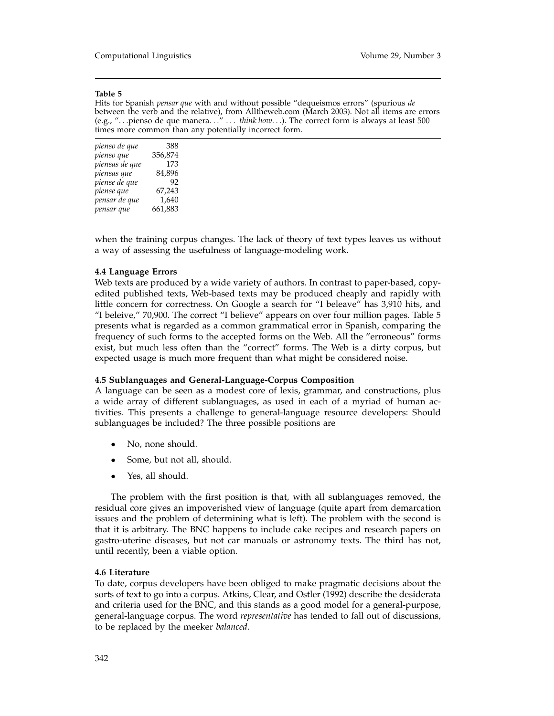#### **Table 5**

Hits for Spanish *pensar que* with and without possible "dequeismos errors" (spurious *de* between the verb and the relative), from Alltheweb.com (March 2003). Not all items are errors (e.g., "...pienso de que manera..." ... *think how*...). The correct form is always at least 500 times more common than any potentially incorrect form.

| pienso de que  | 388     |
|----------------|---------|
| pienso que     | 356,874 |
| piensas de que | 173     |
| piensas que    | 84,896  |
| piense de que  | 92      |
| piense que     | 67,243  |
| pensar de que  | 1,640   |
| pensar que     | 661,883 |

when the training corpus changes. The lack of theory of text types leaves us without a way of assessing the usefulness of language-modeling work.

#### **4.4 Language Errors**

Web texts are produced by a wide variety of authors. In contrast to paper-based, copyedited published texts, Web-based texts may be produced cheaply and rapidly with little concern for correctness. On Google a search for "I beleave" has 3,910 hits, and "I beleive," 70,900. The correct "I believe" appears on over four million pages. Table 5 presents what is regarded as a common grammatical error in Spanish, comparing the frequency of such forms to the accepted forms on the Web. All the "erroneous" forms exist, but much less often than the "correct" forms. The Web is a dirty corpus, but expected usage is much more frequent than what might be considered noise.

#### **4.5 Sublanguages and General-Language-Corpus Composition**

A language can be seen as a modest core of lexis, grammar, and constructions, plus a wide array of different sublanguages, as used in each of a myriad of human activities. This presents a challenge to general-language resource developers: Should sublanguages be included? The three possible positions are

- No, none should.
- Some, but not all, should.
- Yes, all should.

The problem with the first position is that, with all sublanguages removed, the residual core gives an impoverished view of language (quite apart from demarcation issues and the problem of determining what is left). The problem with the second is that it is arbitrary. The BNC happens to include cake recipes and research papers on gastro-uterine diseases, but not car manuals or astronomy texts. The third has not, until recently, been a viable option.

## **4.6 Literature**

To date, corpus developers have been obliged to make pragmatic decisions about the sorts of text to go into a corpus. Atkins, Clear, and Ostler (1992) describe the desiderata and criteria used for the BNC, and this stands as a good model for a general-purpose, general-language corpus. The word *representative* has tended to fall out of discussions, to be replaced by the meeker *balanced*.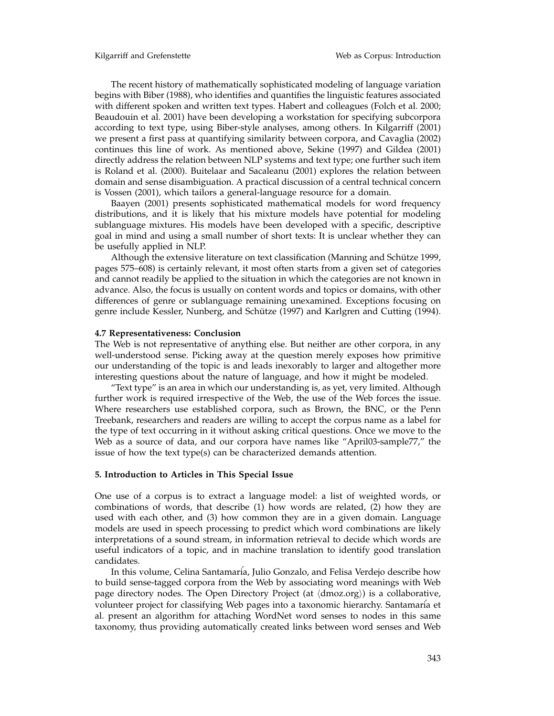The recent history of mathematically sophisticated modeling of language variation begins with Biber (1988), who identifies and quantifies the linguistic features associated with different spoken and written text types. Habert and colleagues (Folch et al. 2000; Beaudouin et al. 2001) have been developing a workstation for specifying subcorpora according to text type, using Biber-style analyses, among others. In Kilgarriff (2001) we present a first pass at quantifying similarity between corpora, and Cavaglia (2002) continues this line of work. As mentioned above, Sekine (1997) and Gildea (2001) directly address the relation between NLP systems and text type; one further such item is Roland et al. (2000). Buitelaar and Sacaleanu (2001) explores the relation between domain and sense disambiguation. A practical discussion of a central technical concern is Vossen (2001), which tailors a general-language resource for a domain.

Baayen (2001) presents sophisticated mathematical models for word frequency distributions, and it is likely that his mixture models have potential for modeling sublanguage mixtures. His models have been developed with a specific, descriptive goal in mind and using a small number of short texts: It is unclear whether they can be usefully applied in NLP.

Although the extensive literature on text classification (Manning and Schütze 1999, pages 575–608) is certainly relevant, it most often starts from a given set of categories and cannot readily be applied to the situation in which the categories are not known in advance. Also, the focus is usually on content words and topics or domains, with other differences of genre or sublanguage remaining unexamined. Exceptions focusing on genre include Kessler, Nunberg, and Schütze (1997) and Karlgren and Cutting (1994).

# **4.7 Representativeness: Conclusion**

The Web is not representative of anything else. But neither are other corpora, in any well-understood sense. Picking away at the question merely exposes how primitive our understanding of the topic is and leads inexorably to larger and altogether more interesting questions about the nature of language, and how it might be modeled.

"Text type" is an area in which our understanding is, as yet, very limited. Although further work is required irrespective of the Web, the use of the Web forces the issue. Where researchers use established corpora, such as Brown, the BNC, or the Penn Treebank, researchers and readers are willing to accept the corpus name as a label for the type of text occurring in it without asking critical questions. Once we move to the Web as a source of data, and our corpora have names like "April03-sample77," the issue of how the text type(s) can be characterized demands attention.

# **5. Introduction to Articles in This Special Issue**

One use of a corpus is to extract a language model: a list of weighted words, or combinations of words, that describe (1) how words are related, (2) how they are used with each other, and (3) how common they are in a given domain. Language models are used in speech processing to predict which word combinations are likely interpretations of a sound stream, in information retrieval to decide which words are useful indicators of a topic, and in machine translation to identify good translation candidates.

In this volume, Celina Santamaría, Julio Gonzalo, and Felisa Verdejo describe how to build sense-tagged corpora from the Web by associating word meanings with Web page directory nodes. The Open Directory Project (at  $\langle d_{\text{moz.org}} \rangle$ ) is a collaborative, volunteer project for classifying Web pages into a taxonomic hierarchy. Santamaría et al. present an algorithm for attaching WordNet word senses to nodes in this same taxonomy, thus providing automatically created links between word senses and Web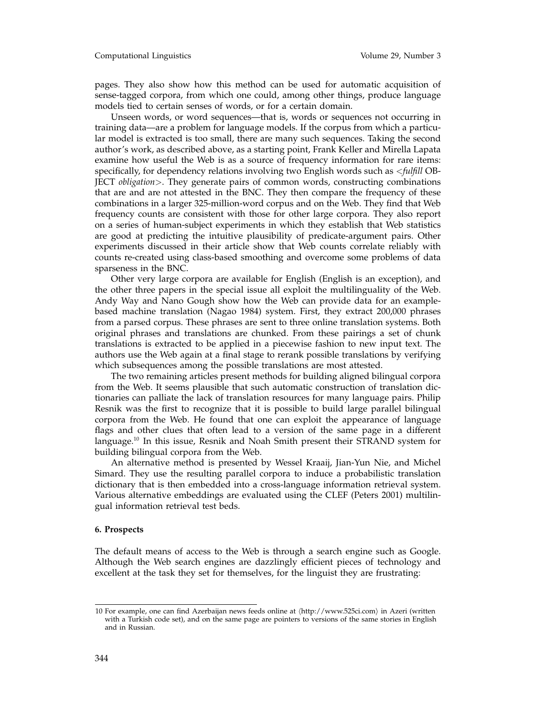pages. They also show how this method can be used for automatic acquisition of sense-tagged corpora, from which one could, among other things, produce language models tied to certain senses of words, or for a certain domain.

Unseen words, or word sequences—that is, words or sequences not occurring in training data—are a problem for language models. If the corpus from which a particular model is extracted is too small, there are many such sequences. Taking the second author's work, as described above, as a starting point, Frank Keller and Mirella Lapata examine how useful the Web is as a source of frequency information for rare items: specifically, for dependency relations involving two English words such as <*fulfill* OB-JECT *obligation*>. They generate pairs of common words, constructing combinations that are and are not attested in the BNC. They then compare the frequency of these combinations in a larger 325-million-word corpus and on the Web. They find that Web frequency counts are consistent with those for other large corpora. They also report on a series of human-subject experiments in which they establish that Web statistics are good at predicting the intuitive plausibility of predicate-argument pairs. Other experiments discussed in their article show that Web counts correlate reliably with counts re-created using class-based smoothing and overcome some problems of data sparseness in the BNC.

Other very large corpora are available for English (English is an exception), and the other three papers in the special issue all exploit the multilinguality of the Web. Andy Way and Nano Gough show how the Web can provide data for an examplebased machine translation (Nagao 1984) system. First, they extract 200,000 phrases from a parsed corpus. These phrases are sent to three online translation systems. Both original phrases and translations are chunked. From these pairings a set of chunk translations is extracted to be applied in a piecewise fashion to new input text. The authors use the Web again at a final stage to rerank possible translations by verifying which subsequences among the possible translations are most attested.

The two remaining articles present methods for building aligned bilingual corpora from the Web. It seems plausible that such automatic construction of translation dictionaries can palliate the lack of translation resources for many language pairs. Philip Resnik was the first to recognize that it is possible to build large parallel bilingual corpora from the Web. He found that one can exploit the appearance of language flags and other clues that often lead to a version of the same page in a different language.<sup>10</sup> In this issue, Resnik and Noah Smith present their STRAND system for building bilingual corpora from the Web.

An alternative method is presented by Wessel Kraaij, Jian-Yun Nie, and Michel Simard. They use the resulting parallel corpora to induce a probabilistic translation dictionary that is then embedded into a cross-language information retrieval system. Various alternative embeddings are evaluated using the CLEF (Peters 2001) multilingual information retrieval test beds.

#### **6. Prospects**

The default means of access to the Web is through a search engine such as Google. Although the Web search engines are dazzlingly efficient pieces of technology and excellent at the task they set for themselves, for the linguist they are frustrating:

<sup>10</sup> For example, one can find Azerbaijan news feeds online at  $\langle http://www.525ci.com\rangle$  in Azeri (written with a Turkish code set), and on the same page are pointers to versions of the same stories in English and in Russian.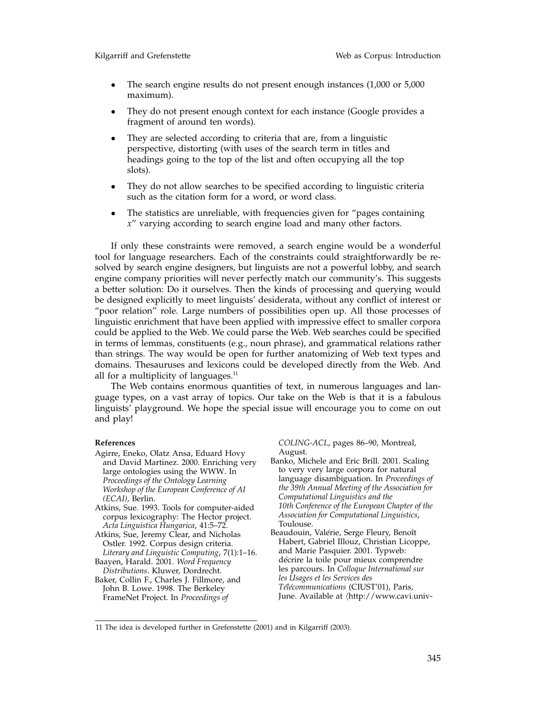- The search engine results do not present enough instances (1,000 or 5,000) maximum).
- They do not present enough context for each instance (Google provides a fragment of around ten words).
- They are selected according to criteria that are, from a linguistic perspective, distorting (with uses of the search term in titles and headings going to the top of the list and often occupying all the top slots).
- They do not allow searches to be specified according to linguistic criteria such as the citation form for a word, or word class.
- The statistics are unreliable, with frequencies given for "pages containing *x*" varying according to search engine load and many other factors.

If only these constraints were removed, a search engine would be a wonderful tool for language researchers. Each of the constraints could straightforwardly be resolved by search engine designers, but linguists are not a powerful lobby, and search engine company priorities will never perfectly match our community's. This suggests a better solution: Do it ourselves. Then the kinds of processing and querying would be designed explicitly to meet linguists' desiderata, without any conflict of interest or "poor relation" role. Large numbers of possibilities open up. All those processes of linguistic enrichment that have been applied with impressive effect to smaller corpora could be applied to the Web. We could parse the Web. Web searches could be specified in terms of lemmas, constituents (e.g., noun phrase), and grammatical relations rather than strings. The way would be open for further anatomizing of Web text types and domains. Thesauruses and lexicons could be developed directly from the Web. And all for a multiplicity of languages. $11$ 

The Web contains enormous quantities of text, in numerous languages and language types, on a vast array of topics. Our take on the Web is that it is a fabulous linguists' playground. We hope the special issue will encourage you to come on out and play!

#### **References**

- Agirre, Eneko, Olatz Ansa, Eduard Hovy and David Martinez. 2000. Enriching very large ontologies using the WWW. In *Proceedings of the Ontology Learning Workshop of the European Conference of AI (ECAI)*, Berlin.
- Atkins, Sue. 1993. Tools for computer-aided corpus lexicography: The Hector project. *Acta Linguistica Hungarica*, 41:5–72.
- Atkins, Sue, Jeremy Clear, and Nicholas Ostler. 1992. Corpus design criteria. *Literary and Linguistic Computing*, 7(1):1–16.
- Baayen, Harald. 2001. *Word Frequency Distributions*. Kluwer, Dordrecht.
- Baker, Collin F., Charles J. Fillmore, and John B. Lowe. 1998. The Berkeley FrameNet Project. In *Proceedings of*

*COLING-ACL*, pages 86–90, Montreal, August.

- Banko, Michele and Eric Brill. 2001. Scaling to very very large corpora for natural language disambiguation. In *Proceedings of the 39th Annual Meeting of the Association for Computational Linguistics and the 10th Conference of the European Chapter of the Association for Computational Linguistics*, Toulouse.
- Beaudouin, Valérie, Serge Fleury, Benoît Habert, Gabriel Illouz, Christian Licoppe, and Marie Pasquier. 2001. Typweb: décrire la toile pour mieux comprendre les parcours. In *Colloque International sur les Usages et les Services des T ´el ´ecommunications* (CIUST'01), Paris, June. Available at  $\langle$ http://www.cavi.univ-

<sup>11</sup> The idea is developed further in Grefenstette (2001) and in Kilgarriff (2003).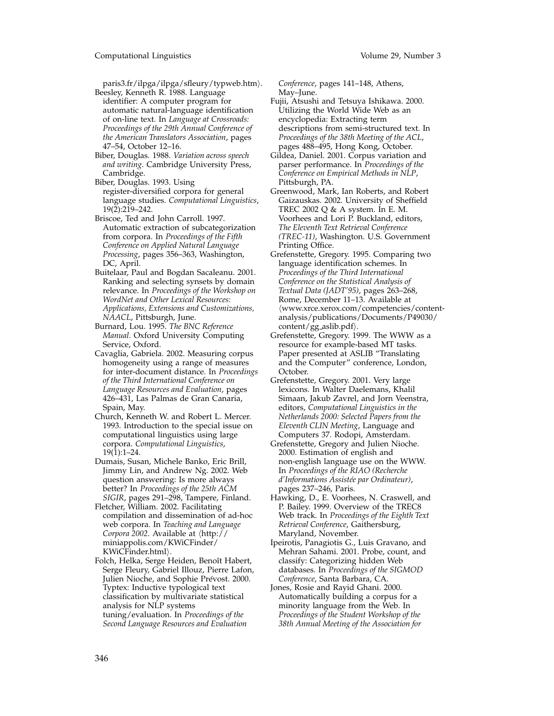paris3.fr/ilpga/ilpga/sfleury/typweb.htm).

- Beesley, Kenneth R. 1988. Language identifier: A computer program for automatic natural-language identification of on-line text. In *Language at Crossroads: Proceedings of the 29th Annual Conference of the American Translators Association*, pages 47–54, October 12–16.
- Biber, Douglas. 1988. *Variation across speech and writing*. Cambridge University Press, Cambridge.
- Biber, Douglas. 1993. Using register-diversified corpora for general language studies. *Computational Linguistics*, 19(2):219–242.
- Briscoe, Ted and John Carroll. 1997. Automatic extraction of subcategorization from corpora. In *Proceedings of the Fifth Conference on Applied Natural Language Processing*, pages 356–363, Washington, DC, April.
- Buitelaar, Paul and Bogdan Sacaleanu. 2001. Ranking and selecting synsets by domain relevance. In *Proceedings of the Workshop on WordNet and Other Lexical Resources: Applications, Extensions and Customizations, NAACL*, Pittsburgh, June.
- Burnard, Lou. 1995. *The BNC Reference Manual*. Oxford University Computing Service, Oxford.
- Cavaglia, Gabriela. 2002. Measuring corpus homogeneity using a range of measures for inter-document distance. In *Proceedings of the Third International Conference on Language Resources and Evaluation*, pages 426–431, Las Palmas de Gran Canaria, Spain, May.
- Church, Kenneth W. and Robert L. Mercer. 1993. Introduction to the special issue on computational linguistics using large corpora. *Computational Linguistics*, 19(1):1–24.
- Dumais, Susan, Michele Banko, Eric Brill, Jimmy Lin, and Andrew Ng. 2002. Web question answering: Is more always better? In *Proceedings of the 25th ACM SIGIR*, pages 291–298, Tampere, Finland.
- Fletcher, William. 2002. Facilitating compilation and dissemination of ad-hoc web corpora. In *Teaching and Language Corpora 2002.* Available at  $\langle$ http:// miniappolis.com/KWiCFinder/ KWiCFinder.html).<br>.
- Folch, Helka, Serge Heiden, Benoît Habert, Serge Fleury, Gabriel Illouz, Pierre Lafon, Julien Nioche, and Sophie Prévost. 2000. Typtex: Inductive typological text classification by multivariate statistical analysis for NLP systems tuning/evaluation. In *Proceedings of the Second Language Resources and Evaluation*

*Conference*, pages 141–148, Athens, May–June.

- Fujii, Atsushi and Tetsuya Ishikawa. 2000. Utilizing the World Wide Web as an encyclopedia: Extracting term descriptions from semi-structured text. In *Proceedings of the 38th Meeting of the ACL*, pages 488–495, Hong Kong, October.
- Gildea, Daniel. 2001. Corpus variation and parser performance. In *Proceedings of the Conference on Empirical Methods in NLP*, Pittsburgh, PA.
- Greenwood, Mark, Ian Roberts, and Robert Gaizauskas. 2002. University of Sheffield TREC 2002 Q & A system. In E. M. Voorhees and Lori P. Buckland, editors, *The Eleventh Text Retrieval Conference (TREC-11)*, Washington. U.S. Government Printing Office.
- Grefenstette, Gregory. 1995. Comparing two language identification schemes. In *Proceedings of the Third International Conference on the Statistical Analysis of Textual Data (JADT'95)*, pages 263–268, Rome, December 11–13. Available at www.xrce.xerox.com/competencies/contentanalysis/publications/Documents/P49030/ content/gg\_aslib.pdf).
- Grefenstette, Gregory. 1999. The WWW as a resource for example-based MT tasks. Paper presented at ASLIB "Translating and the Computer" conference, London, October.
- Grefenstette, Gregory. 2001. Very large lexicons. In Walter Daelemans, Khalil Simaan, Jakub Zavrel, and Jorn Veenstra, editors, *Computational Linguistics in the Netherlands 2000: Selected Papers from the Eleventh CLIN Meeting*, Language and Computers 37. Rodopi, Amsterdam.
- Grefenstette, Gregory and Julien Nioche. 2000. Estimation of english and non-english language use on the WWW. In *Proceedings of the RIAO (Recherche d'Informations Assistée par Ordinateur*), pages 237–246, Paris.
- Hawking, D., E. Voorhees, N. Craswell, and P. Bailey. 1999. Overview of the TREC8 Web track. In *Proceedings of the Eighth Text Retrieval Conference*, Gaithersburg, Maryland, November.
- Ipeirotis, Panagiotis G., Luis Gravano, and Mehran Sahami. 2001. Probe, count, and classify: Categorizing hidden Web databases. In *Proceedings of the SIGMOD Conference*, Santa Barbara, CA.
- Jones, Rosie and Rayid Ghani. 2000. Automatically building a corpus for a minority language from the Web. In *Proceedings of the Student Workshop of the 38th Annual Meeting of the Association for*